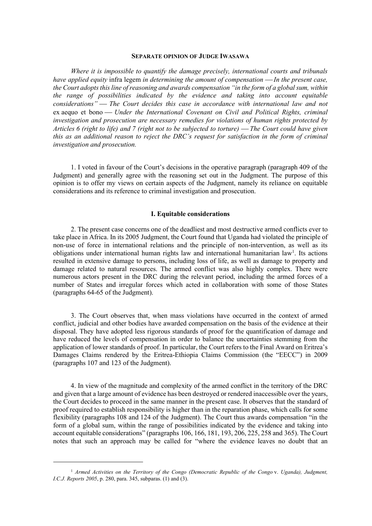## **SEPARATE OPINION OF JUDGE IWASAWA**

*Where it is impossible to quantify the damage precisely, international courts and tribunals have applied equity* infra legem *in determining the amount of compensation In the present case, the Court adopts this line of reasoning and awards compensation "in the form of a global sum, within the range of possibilities indicated by the evidence and taking into account equitable considerations" The Court decides this case in accordance with international law and not*  ex aequo et bono — *Under the International Covenant on Civil and Political Rights, criminal investigation and prosecution are necessary remedies for violations of human rights protected by Articles 6 (right to life) and 7 (right not to be subjected to torture) The Court could have given this as an additional reason to reject the DRC's request for satisfaction in the form of criminal investigation and prosecution.*

1. I voted in favour of the Court's decisions in the operative paragraph (paragraph 409 of the Judgment) and generally agree with the reasoning set out in the Judgment. The purpose of this opinion is to offer my views on certain aspects of the Judgment, namely its reliance on equitable considerations and its reference to criminal investigation and prosecution.

## **I. Equitable considerations**

2. The present case concerns one of the deadliest and most destructive armed conflicts ever to take place in Africa. In its 2005 Judgment, the Court found that Uganda had violated the principle of non-use of force in international relations and the principle of non-intervention, as well as its obligations under international human rights law and international humanitarian law<sup>[1](#page-0-0)</sup>. Its actions resulted in extensive damage to persons, including loss of life, as well as damage to property and damage related to natural resources. The armed conflict was also highly complex. There were numerous actors present in the DRC during the relevant period, including the armed forces of a number of States and irregular forces which acted in collaboration with some of those States (paragraphs 64-65 of the Judgment).

3. The Court observes that, when mass violations have occurred in the context of armed conflict, judicial and other bodies have awarded compensation on the basis of the evidence at their disposal. They have adopted less rigorous standards of proof for the quantification of damage and have reduced the levels of compensation in order to balance the uncertainties stemming from the application of lower standards of proof. In particular, the Court refers to the Final Award on Eritrea's Damages Claims rendered by the Eritrea-Ethiopia Claims Commission (the "EECC") in 2009 (paragraphs 107 and 123 of the Judgment).

4. In view of the magnitude and complexity of the armed conflict in the territory of the DRC and given that a large amount of evidence has been destroyed or rendered inaccessible over the years, the Court decides to proceed in the same manner in the present case. It observes that the standard of proof required to establish responsibility is higher than in the reparation phase, which calls for some flexibility (paragraphs 108 and 124 of the Judgment). The Court thus awards compensation "in the form of a global sum, within the range of possibilities indicated by the evidence and taking into account equitable considerations" (paragraphs 106, 166, 181, 193, 206, 225, 258 and 365). The Court notes that such an approach may be called for "where the evidence leaves no doubt that an

<span id="page-0-0"></span><sup>1</sup> *Armed Activities on the Territory of the Congo (Democratic Republic of the Congo* v. *Uganda), Judgment, I.C.J. Reports 2005*, p. 280, para. 345, subparas. (1) and (3).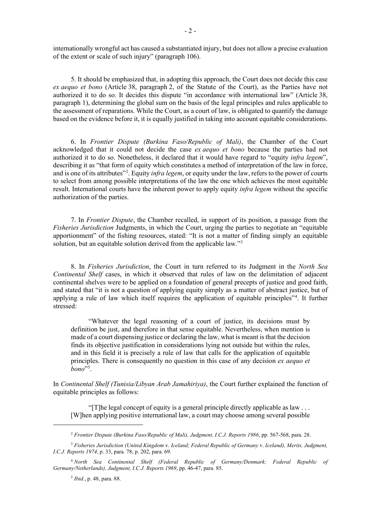internationally wrongful act has caused a substantiated injury, but does not allow a precise evaluation of the extent or scale of such injury" (paragraph 106).

5. It should be emphasized that, in adopting this approach, the Court does not decide this case *ex aequo et bono* (Article 38, paragraph 2, of the Statute of the Court), as the Parties have not authorized it to do so. It decides this dispute "in accordance with international law" (Article 38, paragraph 1), determining the global sum on the basis of the legal principles and rules applicable to the assessment of reparations. While the Court, as a court of law, is obligated to quantify the damage based on the evidence before it, it is equally justified in taking into account equitable considerations.

6. In *Frontier Dispute (Burkina Faso/Republic of Mali)*, the Chamber of the Court acknowledged that it could not decide the case *ex aequo et bono* because the parties had not authorized it to do so. Nonetheless, it declared that it would have regard to "equity *infra legem*", describing it as "that form of equity which constitutes a method of interpretation of the law in force, and is one of its attributes"[2](#page-1-0) . Equity *infra legem*, or equity under the law, refers to the power of courts to select from among possible interpretations of the law the one which achieves the most equitable result. International courts have the inherent power to apply equity *infra legem* without the specific authorization of the parties.

7. In *Frontier Dispute*, the Chamber recalled, in support of its position, a passage from the *Fisheries Jurisdiction* Judgments, in which the Court, urging the parties to negotiate an "equitable apportionment" of the fishing resources, stated: "It is not a matter of finding simply an equitable solution, but an equitable solution derived from the applicable law."<sup>[3](#page-1-1)</sup>

8. In *Fisheries Jurisdiction*, the Court in turn referred to its Judgment in the *North Sea Continental Shelf* cases, in which it observed that rules of law on the delimitation of adjacent continental shelves were to be applied on a foundation of general precepts of justice and good faith, and stated that "it is not a question of applying equity simply as a matter of abstract justice, but of applying a rule of law which itself requires the application of equitable principles"[4](#page-1-2) . It further stressed:

"Whatever the legal reasoning of a court of justice, its decisions must by definition be just, and therefore in that sense equitable. Nevertheless, when mention is made of a court dispensing justice or declaring the law, what is meant is that the decision finds its objective justification in considerations lying not outside but within the rules, and in this field it is precisely a rule of law that calls for the application of equitable principles. There is consequently no question in this case of any decision *ex aequo et bono*"[5](#page-1-3) .

In *Continental Shelf (Tunisia/Libyan Arab Jamahiriya)*, the Court further explained the function of equitable principles as follows:

"[T]he legal concept of equity is a general principle directly applicable as law . . . [W]hen applying positive international law, a court may choose among several possible

<sup>2</sup> *Frontier Dispute (Burkina Faso/Republic of Mali), Judgment, I.C.J. Reports 1986*, pp. 567-568, para. 28.

<span id="page-1-1"></span><span id="page-1-0"></span><sup>3</sup> *Fisheries Jurisdiction (United Kingdom* v. *Iceland; Federal Republic of Germany* v. *Iceland), Merits, Judgment, I.C.J. Reports 1974*, p. 33, para. 78; p. 202, para. 69.

<span id="page-1-3"></span><span id="page-1-2"></span><sup>4</sup> *North Sea Continental Shelf (Federal Republic of Germany/Denmark; Federal Republic of Germany/Netherlands), Judgment, I.C.J. Reports 1969*, pp. 46-47, para. 85.

<sup>5</sup> *Ibid.*, p. 48, para. 88.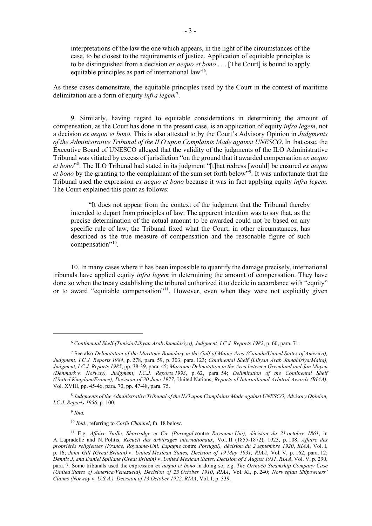interpretations of the law the one which appears, in the light of the circumstances of the case, to be closest to the requirements of justice. Application of equitable principles is to be distinguished from a decision *ex aequo et bono* . . . [The Court] is bound to apply equitable principles as part of international law"<sup>[6](#page-2-0)</sup>.

As these cases demonstrate, the equitable principles used by the Court in the context of maritime delimitation are a form of equity *infra legem*[7](#page-2-1) .

9. Similarly, having regard to equitable considerations in determining the amount of compensation, as the Court has done in the present case, is an application of equity *infra legem*, not a decision *ex aequo et bono*. This is also attested to by the Court's Advisory Opinion in *Judgments of the Administrative Tribunal of the ILO upon Complaints Made against UNESCO*. In that case, the Executive Board of UNESCO alleged that the validity of the judgments of the ILO Administrative Tribunal was vitiated by excess of jurisdiction "on the ground that it awarded compensation *ex aequo et bono*"[8](#page-2-2) . The ILO Tribunal had stated in its judgment "[t]hat redress [would] be ensured *ex aequo et bono* by the granting to the complainant of the sum set forth below"[9](#page-2-3) . It was unfortunate that the Tribunal used the expression *ex aequo et bono* because it was in fact applying equity *infra legem*. The Court explained this point as follows:

"It does not appear from the context of the judgment that the Tribunal thereby intended to depart from principles of law. The apparent intention was to say that, as the precise determination of the actual amount to be awarded could not be based on any specific rule of law, the Tribunal fixed what the Court, in other circumstances, has described as the true measure of compensation and the reasonable figure of such compensation"<sup>10</sup>.

10. In many cases where it has been impossible to quantify the damage precisely, international tribunals have applied equity *infra legem* in determining the amount of compensation. They have done so when the treaty establishing the tribunal authorized it to decide in accordance with "equity" or to award "equitable compensation"<sup>[11](#page-2-5)</sup>. However, even when they were not explicitly given

<span id="page-2-3"></span><span id="page-2-2"></span><sup>8</sup> *Judgments of the Administrative Tribunal of the ILO upon Complaints Made against UNESCO, Advisory Opinion, I.C.J. Reports 1956*, p. 100.

<sup>9</sup> *Ibid.*

<sup>10</sup> *Ibid.*, referring to *Corfu Channel*, fn. 18 below.

<sup>6</sup> *Continental Shelf (Tunisia/Libyan Arab Jamahiriya), Judgment, I.C.J. Reports 1982*, p. 60, para. 71.

<span id="page-2-1"></span><span id="page-2-0"></span><sup>7</sup> See also *Delimitation of the Maritime Boundary in the Gulf of Maine Area (Canada/United States of America), Judgment, I.C.J. Reports 1984*, p. 278, para. 59, p. 303, para. 123; *Continental Shelf (Libyan Arab Jamahiriya/Malta), Judgment, I.C.J. Reports 1985*, pp. 38-39, para. 45; *Maritime Delimitation in the Area between Greenland and Jan Mayen (Denmark* v. *Norway), Judgment, I.C.J. Reports 1993*, p. 62, para. 54; *Delimitation of the Continental Shelf (United Kingdom/France), Decision of 30 June 1977*, United Nations, *Reports of International Arbitral Awards (RIAA)*, Vol. XVIII, pp. 45-46, para. 70, pp. 47-48, para. 75.

<span id="page-2-5"></span><span id="page-2-4"></span><sup>11</sup> E.g. *Affaire Yuille, Shortridge et Cie (Portugal* contre *Royaume-Uni), décision du 21 octobre 1861*, in A. Lapradelle and N. Politis, *Recueil des arbitrages internationaux*, Vol. II (1855-1872), 1923, p. 108; *Affaire des propriétés religieuses (France, Royaume-Uni, Espagne* contre *Portugal), décision du 2 septembre 1920*, *RIAA*, Vol. I, p. 16; *John Gill (Great Britain)* v. *United Mexican States, Decision of 19 May 1931, RIAA*, Vol. V, p. 162, para. 12; *Dennis J. and Daniel Spillane (Great Britain)* v. *United Mexican States, Decision of 3 August 1931*, *RIAA*, Vol. V, p. 290, para. 7. Some tribunals used the expression *ex aequo et bono* in doing so, e.g. *The Orinoco Steamship Company Case (United States of America/Venezuela), Decision of 25 October 1910*, *RIAA*, Vol. XI, p. 240; *Norwegian Shipowners' Claims (Norway* v. *U.S.A.), Decision of 13 October 1922, RIAA*, Vol. I, p. 339.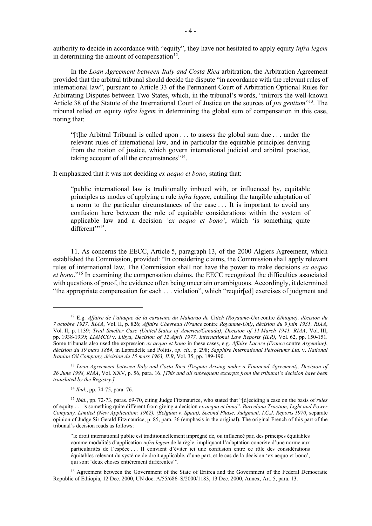authority to decide in accordance with "equity", they have not hesitated to apply equity *infra legem* in determining the amount of compensation $12$ .

In the *Loan Agreement between Italy and Costa Rica* arbitration, the Arbitration Agreement provided that the arbitral tribunal should decide the dispute "in accordance with the relevant rules of international law", pursuant to Article 33 of the Permanent Court of Arbitration Optional Rules for Arbitrating Disputes between Two States, which, in the tribunal's words, "mirrors the well-known Article 38 of the Statute of the International Court of Justice on the sources of *jus gentium*["13](#page-3-1). The tribunal relied on equity *infra legem* in determining the global sum of compensation in this case, noting that:

"[t]he Arbitral Tribunal is called upon . . . to assess the global sum due . . . under the relevant rules of international law, and in particular the equitable principles deriving from the notion of justice, which govern international judicial and arbitral practice, taking account of all the circumstances<sup>"[14](#page-3-2)</sup>.

It emphasized that it was not deciding *ex aequo et bono*, stating that:

"public international law is traditionally imbued with, or influenced by, equitable principles as modes of applying a rule *infra legem*, entailing the tangible adaptation of a norm to the particular circumstances of the case . . . It is important to avoid any confusion here between the role of equitable considerations within the system of applicable law and a decision *'ex aequo et bono'*, which 'is something quite different"<sup>[15](#page-3-3)</sup>.

11. As concerns the EECC, Article 5, paragraph 13, of the 2000 Algiers Agreement, which established the Commission, provided: "In considering claims, the Commission shall apply relevant rules of international law. The Commission shall not have the power to make decisions *ex aequo et bono*."[16](#page-3-4) In examining the compensation claims, the EECC recognized the difficulties associated with questions of proof, the evidence often being uncertain or ambiguous. Accordingly, it determined "the appropriate compensation for each . . . violation", which "requir[ed] exercises of judgment and

<span id="page-3-0"></span><sup>12</sup> E.g. *Affaire de l'attaque de la caravane du Maharao de Cutch (Royaume-Uni* contre *Ethiopie), décision du 7 octobre 1927, RIAA*, Vol. II, p. 826; *Affaire Chevreau (France* contre *Royaume-Uni)*, *décision du 9 juin 1931, RIAA*, Vol. II, p. 1139; *Trail Smelter Case (United States of America/Canada)*, *Decision of 11 March 1941, RIAA*, Vol. III, pp. 1938-1939; *LIAMCO* v. *Libya*, *Decision of 12 April 1977, International Law Reports (ILR)*, Vol. 62, pp. 150-151. Some tribunals also used the expression *ex aequo et bono* in these cases, e.g. *Affaire Lacaze (France* contre *Argentine)*, *décision du 19 mars 1864*, in Lapradelle and Politis, *op. cit.*, p. 298; *Sapphire International Petroleums Ltd.* v. *National Iranian Oil Company, décision du 15 mars 1963, ILR*, Vol. 35, pp. 189-190.

<span id="page-3-1"></span><sup>13</sup> *Loan Agreement between Italy and Costa Rica (Dispute Arising under a Financial Agreement), Decision of 26 June 1998, RIAA*, Vol. XXV, p. 56, para. 16. *[This and all subsequent excerpts from the tribunal's decision have been translated by the Registry.]*

<sup>14</sup> *Ibid.*, pp. 74-75, para. 76.

<span id="page-3-3"></span><span id="page-3-2"></span><sup>15</sup> *Ibid.*, pp. 72-73, paras. 69-70, citing Judge Fitzmaurice, who stated that "[d]eciding a case on the basis of *rules* of equity . . . is something quite different from giving a decision *ex aequo et bono*". *Barcelona Traction, Light and Power Company, Limited (New Application: 1962), (Belgium* v. *Spain), Second Phase, Judgment, I.C.J. Reports 1970*, separate opinion of Judge Sir Gerald Fitzmaurice, p. 85, para. 36 (emphasis in the original). The original French of this part of the tribunal's decision reads as follows:

<sup>&</sup>quot;le droit international public est traditionnellement imprégné de, ou influencé par, des principes équitables comme modalités d'application *infra legem* de la règle, impliquant l'adaptation concrète d'une norme aux particularités de l'espèce . . . II convient d'éviter ici une confusion entre ce rôle des considérations équitables relevant du système de droit applicable, d'une part, et le cas de la décision 'ex aequo et bono', qui sont 'deux choses entièrement différentes'".

<span id="page-3-4"></span><sup>&</sup>lt;sup>16</sup> Agreement between the Government of the State of Eritrea and the Government of the Federal Democratic Republic of Ethiopia, 12 Dec. 2000, UN doc. A/55/686–S/2000/1183, 13 Dec. 2000, Annex, Art. 5, para. 13.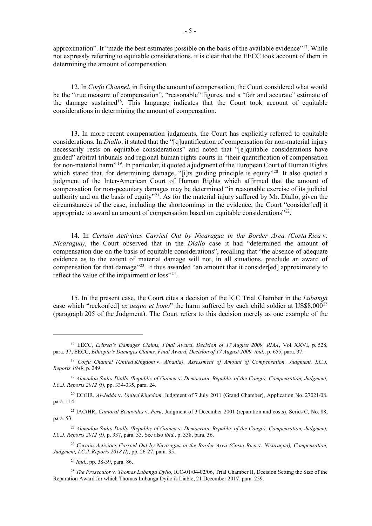approximation". It "made the best estimates possible on the basis of the available evidence"<sup>17</sup>. While not expressly referring to equitable considerations, it is clear that the EECC took account of them in determining the amount of compensation.

12. In *Corfu Channel*, in fixing the amount of compensation, the Court considered what would be the "true measure of compensation", "reasonable" figures, and a "fair and accurate" estimate of the damage sustained<sup>[18](#page-4-1)</sup>. This language indicates that the Court took account of equitable considerations in determining the amount of compensation.

13. In more recent compensation judgments, the Court has explicitly referred to equitable considerations. In *Diallo*, it stated that the "[q]uantification of compensation for non-material injury necessarily rests on equitable considerations" and noted that "[e]quitable considerations have guided" arbitral tribunals and regional human rights courts in "their quantification of compensation for non-material harm"<sup>[19](#page-4-2)</sup>. In particular, it quoted a judgment of the European Court of Human Rights which stated that, for determining damage, "[i]ts guiding principle is equity"<sup>[20](#page-4-3)</sup>. It also quoted a judgment of the Inter-American Court of Human Rights which affirmed that the amount of compensation for non-pecuniary damages may be determined "in reasonable exercise of its judicial authority and on the basis of equity"<sup>[21](#page-4-4)</sup>. As for the material injury suffered by Mr. Diallo, given the circumstances of the case, including the shortcomings in the evidence, the Court "consider[ed] it appropriate to award an amount of compensation based on equitable considerations"[22.](#page-4-5)

14. In *Certain Activities Carried Out by Nicaragua in the Border Area (Costa Rica* v. *Nicaragua)*, the Court observed that in the *Diallo* case it had "determined the amount of compensation due on the basis of equitable considerations", recalling that "the absence of adequate evidence as to the extent of material damage will not, in all situations, preclude an award of compensation for that damage"<sup>[23](#page-4-6)</sup>. It thus awarded "an amount that it consider[ed] approximately to reflect the value of the impairment or loss"<sup>24</sup>.

15. In the present case, the Court cites a decision of the ICC Trial Chamber in the *Lubanga* case which "reckon[ed] *ex aequo et bono*" the harm suffered by each child soldier at US\$8,000[25](#page-4-8) (paragraph 205 of the Judgment). The Court refers to this decision merely as one example of the

<span id="page-4-3"></span><sup>20</sup> ECtHR, *Al-Jedda* v. *United Kingdom*, Judgment of 7 July 2011 (Grand Chamber), Application No. 27021/08, para. 114.

<span id="page-4-4"></span><sup>21</sup> IACtHR, *Cantoral Benavides* v. *Peru*, Judgment of 3 December 2001 (reparation and costs), Series C, No. 88, para. 53.

<span id="page-4-5"></span><sup>22</sup> *Ahmadou Sadio Diallo (Republic of Guinea* v. *Democratic Republic of the Congo), Compensation, Judgment, I.C.J. Reports 2012 (I)*, p. 337, para. 33. See also *ibid.*, p. 338, para. 36.

<span id="page-4-6"></span><sup>23</sup> *Certain Activities Carried Out by Nicaragua in the Border Area (Costa Rica* v. *Nicaragua), Compensation, Judgment, I.C.J. Reports 2018 (I)*, pp. 26-27, para. 35.

<sup>24</sup> *Ibid.*, pp. 38-39, para. 86.

<span id="page-4-0"></span><sup>17</sup> EECC, *Eritrea's Damages Claims, Final Award*, *Decision of 17 August 2009, RIAA*, Vol. XXVI, p. 528, para. 37; EECC, *Ethiopia's Damages Claims, Final Award*, *Decision of 17 August 2009, ibid.*, p. 655, para. 37.

<span id="page-4-1"></span><sup>18</sup> *Corfu Channel (United Kingdom* v. *Albania), Assessment of Amount of Compensation, Judgment, I.C.J. Reports 1949*, p. 249.

<span id="page-4-2"></span><sup>19</sup> *Ahmadou Sadio Diallo (Republic of Guinea* v. *Democratic Republic of the Congo), Compensation, Judgment, I.C.J. Reports 2012 (I)*, pp. 334-335, para. 24.

<span id="page-4-8"></span><span id="page-4-7"></span><sup>25</sup> *The Prosecutor* v. *Thomas Lubanga Dyilo*, ICC-01/04-02/06, Trial Chamber II, Decision Setting the Size of the Reparation Award for which Thomas Lubanga Dyilo is Liable, 21 December 2017, para. 259.